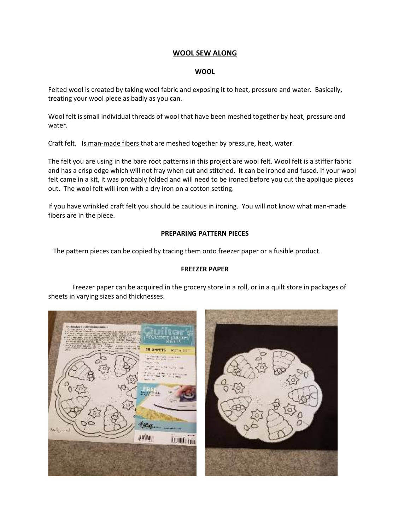## **WOOL SEW ALONG**

#### **WOOL**

Felted wool is created by taking wool fabric and exposing it to heat, pressure and water. Basically, treating your wool piece as badly as you can.

Wool felt is small individual threads of wool that have been meshed together by heat, pressure and water.

Craft felt. Is man-made fibers that are meshed together by pressure, heat, water.

The felt you are using in the bare root patterns in this project are wool felt. Wool felt is a stiffer fabric and has a crisp edge which will not fray when cut and stitched. It can be ironed and fused. If your wool felt came in a kit, it was probably folded and will need to be ironed before you cut the applique pieces out. The wool felt will iron with a dry iron on a cotton setting.

If you have wrinkled craft felt you should be cautious in ironing. You will not know what man-made fibers are in the piece.

#### **PREPARING PATTERN PIECES**

The pattern pieces can be copied by tracing them onto freezer paper or a fusible product.

#### **FREEZER PAPER**

 Freezer paper can be acquired in the grocery store in a roll, or in a quilt store in packages of sheets in varying sizes and thicknesses.